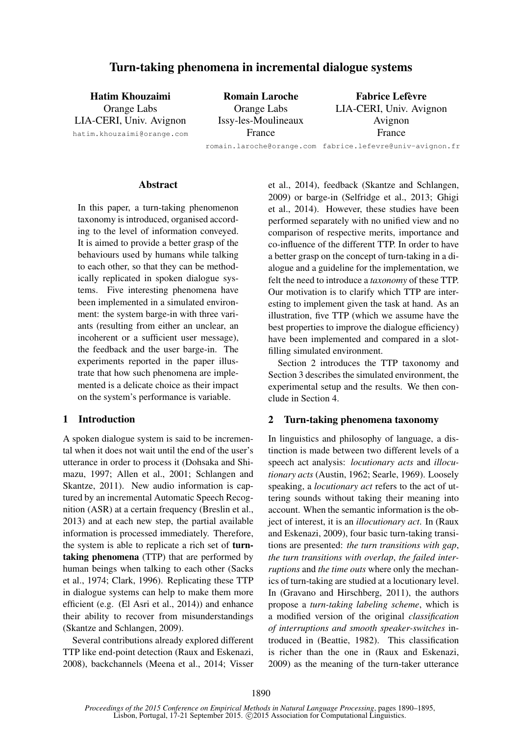# Turn-taking phenomena in incremental dialogue systems

Hatim Khouzaimi Orange Labs LIA-CERI, Univ. Avignon hatim.khouzaimi@orange.com

Romain Laroche Orange Labs Issy-les-Moulineaux France

Fabrice Lefèvre LIA-CERI, Univ. Avignon Avignon France

romain.laroche@orange.com fabrice.lefevre@univ-avignon.fr

#### **Abstract**

In this paper, a turn-taking phenomenon taxonomy is introduced, organised according to the level of information conveyed. It is aimed to provide a better grasp of the behaviours used by humans while talking to each other, so that they can be methodically replicated in spoken dialogue systems. Five interesting phenomena have been implemented in a simulated environment: the system barge-in with three variants (resulting from either an unclear, an incoherent or a sufficient user message), the feedback and the user barge-in. The experiments reported in the paper illustrate that how such phenomena are implemented is a delicate choice as their impact on the system's performance is variable.

#### 1 Introduction

A spoken dialogue system is said to be incremental when it does not wait until the end of the user's utterance in order to process it (Dohsaka and Shimazu, 1997; Allen et al., 2001; Schlangen and Skantze, 2011). New audio information is captured by an incremental Automatic Speech Recognition (ASR) at a certain frequency (Breslin et al., 2013) and at each new step, the partial available information is processed immediately. Therefore, the system is able to replicate a rich set of turntaking phenomena (TTP) that are performed by human beings when talking to each other (Sacks et al., 1974; Clark, 1996). Replicating these TTP in dialogue systems can help to make them more efficient (e.g. (El Asri et al., 2014)) and enhance their ability to recover from misunderstandings (Skantze and Schlangen, 2009).

Several contributions already explored different TTP like end-point detection (Raux and Eskenazi, 2008), backchannels (Meena et al., 2014; Visser et al., 2014), feedback (Skantze and Schlangen, 2009) or barge-in (Selfridge et al., 2013; Ghigi et al., 2014). However, these studies have been performed separately with no unified view and no comparison of respective merits, importance and co-influence of the different TTP. In order to have a better grasp on the concept of turn-taking in a dialogue and a guideline for the implementation, we felt the need to introduce a *taxonomy* of these TTP. Our motivation is to clarify which TTP are interesting to implement given the task at hand. As an illustration, five TTP (which we assume have the best properties to improve the dialogue efficiency) have been implemented and compared in a slotfilling simulated environment.

Section 2 introduces the TTP taxonomy and Section 3 describes the simulated environment, the experimental setup and the results. We then conclude in Section 4.

## 2 Turn-taking phenomena taxonomy

In linguistics and philosophy of language, a distinction is made between two different levels of a speech act analysis: *locutionary acts* and *illocutionary acts* (Austin, 1962; Searle, 1969). Loosely speaking, a *locutionary act* refers to the act of uttering sounds without taking their meaning into account. When the semantic information is the object of interest, it is an *illocutionary act*. In (Raux and Eskenazi, 2009), four basic turn-taking transitions are presented: *the turn transitions with gap*, *the turn transitions with overlap*, *the failed interruptions* and *the time outs* where only the mechanics of turn-taking are studied at a locutionary level. In (Gravano and Hirschberg, 2011), the authors propose a *turn-taking labeling scheme*, which is a modified version of the original *classification of interruptions and smooth speaker-switches* introduced in (Beattie, 1982). This classification is richer than the one in (Raux and Eskenazi, 2009) as the meaning of the turn-taker utterance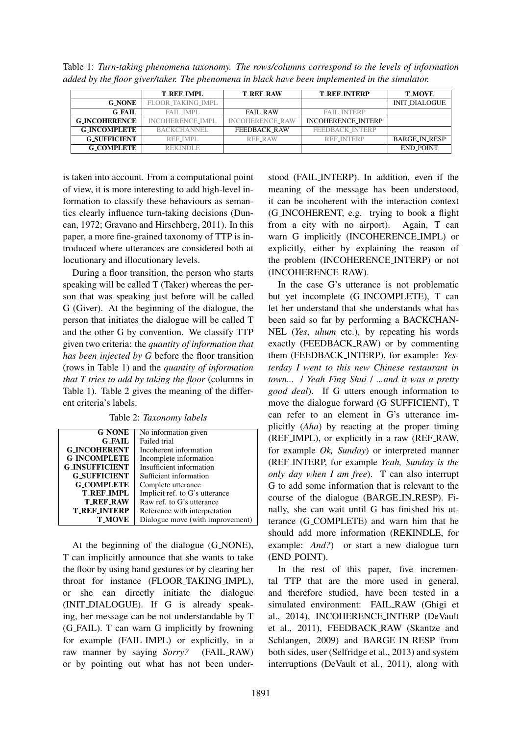|                      | <b>T_REF_IMPL</b>       | <b>T_REF_RAW</b> | <b>T_REF_INTERP</b>       | <b>T_MOVE</b>    |
|----------------------|-------------------------|------------------|---------------------------|------------------|
| <b>G NONE</b>        | FLOOR_TAKING_IMPL       |                  |                           | INIT_DIALOGUE    |
| <b>G_FAIL</b>        | FAIL IMPL               | FAIL RAW         | <b>FAIL INTERP</b>        |                  |
| <b>G_INCOHERENCE</b> | <b>INCOHERENCE_IMPL</b> | INCOHERENCE_RAW  | <b>INCOHERENCE_INTERP</b> |                  |
| <b>G_INCOMPLETE</b>  | BACKCHANNEL             | FEEDBACK RAW     | FEEDBACK INTERP           |                  |
| <b>G_SUFFICIENT</b>  | REF IMPL                | REF RAW          | <b>REF INTERP</b>         | BARGE_IN_RESP    |
| <b>G_COMPLETE</b>    | <b>REKINDLE</b>         |                  |                           | <b>END_POINT</b> |

Table 1: *Turn-taking phenomena taxonomy. The rows/columns correspond to the levels of information added by the floor giver/taker. The phenomena in black have been implemented in the simulator.*

is taken into account. From a computational point of view, it is more interesting to add high-level information to classify these behaviours as semantics clearly influence turn-taking decisions (Duncan, 1972; Gravano and Hirschberg, 2011). In this paper, a more fine-grained taxonomy of TTP is introduced where utterances are considered both at locutionary and illocutionary levels.

During a floor transition, the person who starts speaking will be called T (Taker) whereas the person that was speaking just before will be called G (Giver). At the beginning of the dialogue, the person that initiates the dialogue will be called T and the other G by convention. We classify TTP given two criteria: the *quantity of information that has been injected by G* before the floor transition (rows in Table 1) and the *quantity of information that T tries to add by taking the floor* (columns in Table 1). Table 2 gives the meaning of the different criteria's labels.

Table 2: *Taxonomy labels*

| <b>G_NONE</b><br>No information given<br><b>G FAIL</b><br>Failed trial<br><b>G_INCOHERENT</b><br>Incoherent information<br><b>G_INCOMPLETE</b><br>Incomplete information<br><b>G_INSUFFICIENT</b><br>Insufficient information<br><b>G_SUFFICIENT</b><br>Sufficient information<br><b>G COMPLETE</b><br>Complete utterance<br>Implicit ref. to G's utterance<br>T_REF_IMPL<br><b>T_REF_RAW</b><br>Raw ref. to G's utterance<br><b>T_REF_INTERP</b><br>Reference with interpretation |               |                                  |
|------------------------------------------------------------------------------------------------------------------------------------------------------------------------------------------------------------------------------------------------------------------------------------------------------------------------------------------------------------------------------------------------------------------------------------------------------------------------------------|---------------|----------------------------------|
|                                                                                                                                                                                                                                                                                                                                                                                                                                                                                    |               |                                  |
|                                                                                                                                                                                                                                                                                                                                                                                                                                                                                    |               |                                  |
|                                                                                                                                                                                                                                                                                                                                                                                                                                                                                    |               |                                  |
|                                                                                                                                                                                                                                                                                                                                                                                                                                                                                    |               |                                  |
|                                                                                                                                                                                                                                                                                                                                                                                                                                                                                    |               |                                  |
|                                                                                                                                                                                                                                                                                                                                                                                                                                                                                    |               |                                  |
|                                                                                                                                                                                                                                                                                                                                                                                                                                                                                    |               |                                  |
|                                                                                                                                                                                                                                                                                                                                                                                                                                                                                    |               |                                  |
|                                                                                                                                                                                                                                                                                                                                                                                                                                                                                    |               |                                  |
|                                                                                                                                                                                                                                                                                                                                                                                                                                                                                    |               |                                  |
|                                                                                                                                                                                                                                                                                                                                                                                                                                                                                    | <b>T_MOVE</b> | Dialogue move (with improvement) |

At the beginning of the dialogue (G NONE), T can implicitly announce that she wants to take the floor by using hand gestures or by clearing her throat for instance (FLOOR TAKING IMPL), or she can directly initiate the dialogue (INIT DIALOGUE). If G is already speaking, her message can be not understandable by T (G FAIL). T can warn G implicitly by frowning for example (FAIL IMPL) or explicitly, in a raw manner by saying *Sorry?* (FAIL RAW) or by pointing out what has not been understood (FAIL INTERP). In addition, even if the meaning of the message has been understood, it can be incoherent with the interaction context (G INCOHERENT, e.g. trying to book a flight from a city with no airport). Again, T can warn G implicitly (INCOHERENCE IMPL) or explicitly, either by explaining the reason of the problem (INCOHERENCE INTERP) or not (INCOHERENCE RAW).

In the case G's utterance is not problematic but yet incomplete (G INCOMPLETE), T can let her understand that she understands what has been said so far by performing a BACKCHAN-NEL (*Yes*, *uhum* etc.), by repeating his words exactly (FEEDBACK RAW) or by commenting them (FEEDBACK INTERP), for example: *Yesterday I went to this new Chinese restaurant in town...* / *Yeah Fing Shui* / *...and it was a pretty good deal*). If G utters enough information to move the dialogue forward (G\_SUFFICIENT), T can refer to an element in G's utterance implicitly (*Aha*) by reacting at the proper timing (REF IMPL), or explicitly in a raw (REF RAW, for example *Ok, Sunday*) or interpreted manner (REF INTERP, for example *Yeah, Sunday is the only day when I am free*). T can also interrupt G to add some information that is relevant to the course of the dialogue (BARGE IN RESP). Finally, she can wait until G has finished his utterance (G COMPLETE) and warn him that he should add more information (REKINDLE, for example: *And?*) or start a new dialogue turn (END POINT).

In the rest of this paper, five incremental TTP that are the more used in general, and therefore studied, have been tested in a simulated environment: FAIL RAW (Ghigi et al., 2014), INCOHERENCE INTERP (DeVault et al., 2011), FEEDBACK RAW (Skantze and Schlangen, 2009) and BARGE IN RESP from both sides, user (Selfridge et al., 2013) and system interruptions (DeVault et al., 2011), along with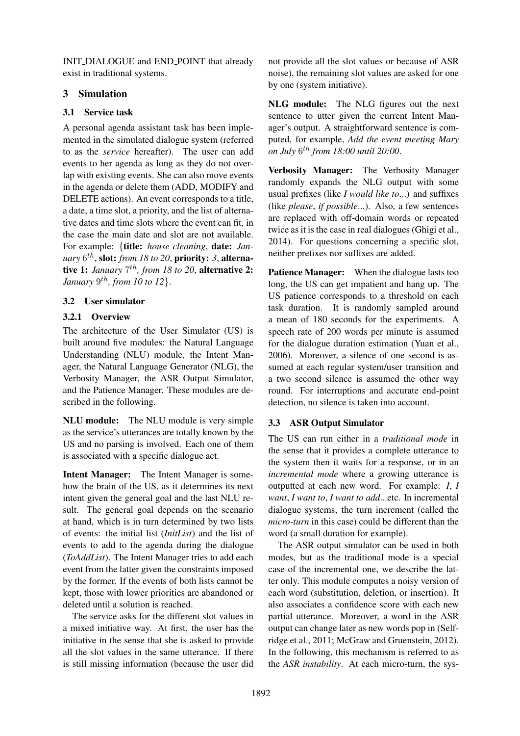INIT DIALOGUE and END POINT that already exist in traditional systems.

## 3 Simulation

## 3.1 Service task

A personal agenda assistant task has been implemented in the simulated dialogue system (referred to as the *service* hereafter). The user can add events to her agenda as long as they do not overlap with existing events. She can also move events in the agenda or delete them (ADD, MODIFY and DELETE actions). An event corresponds to a title, a date, a time slot, a priority, and the list of alternative dates and time slots where the event can fit, in the case the main date and slot are not available. For example: {title: *house cleaning*, date: *January* 6 th , slot: *from 18 to 20*, priority: *3*, alternative 1: *January*  $7^{th}$ , from 18 to 20, alternative 2: *January* 9 th*, from 10 to 12*}.

# 3.2 User simulator

# 3.2.1 Overview

The architecture of the User Simulator (US) is built around five modules: the Natural Language Understanding (NLU) module, the Intent Manager, the Natural Language Generator (NLG), the Verbosity Manager, the ASR Output Simulator, and the Patience Manager. These modules are described in the following.

NLU module: The NLU module is very simple as the service's utterances are totally known by the US and no parsing is involved. Each one of them is associated with a specific dialogue act.

Intent Manager: The Intent Manager is somehow the brain of the US, as it determines its next intent given the general goal and the last NLU result. The general goal depends on the scenario at hand, which is in turn determined by two lists of events: the initial list (*InitList*) and the list of events to add to the agenda during the dialogue (*ToAddList*). The Intent Manager tries to add each event from the latter given the constraints imposed by the former. If the events of both lists cannot be kept, those with lower priorities are abandoned or deleted until a solution is reached.

The service asks for the different slot values in a mixed initiative way. At first, the user has the initiative in the sense that she is asked to provide all the slot values in the same utterance. If there is still missing information (because the user did

not provide all the slot values or because of ASR noise), the remaining slot values are asked for one by one (system initiative).

NLG module: The NLG figures out the next sentence to utter given the current Intent Manager's output. A straightforward sentence is computed, for example, *Add the event meeting Mary on July* 6 th *from 18:00 until 20:00*.

Verbosity Manager: The Verbosity Manager randomly expands the NLG output with some usual prefixes (like *I would like to*...) and suffixes (like *please*, *if possible*...). Also, a few sentences are replaced with off-domain words or repeated twice as it is the case in real dialogues (Ghigi et al., 2014). For questions concerning a specific slot, neither prefixes nor suffixes are added.

Patience Manager: When the dialogue lasts too long, the US can get impatient and hang up. The US patience corresponds to a threshold on each task duration. It is randomly sampled around a mean of 180 seconds for the experiments. A speech rate of 200 words per minute is assumed for the dialogue duration estimation (Yuan et al., 2006). Moreover, a silence of one second is assumed at each regular system/user transition and a two second silence is assumed the other way round. For interruptions and accurate end-point detection, no silence is taken into account.

# 3.3 ASR Output Simulator

The US can run either in a *traditional mode* in the sense that it provides a complete utterance to the system then it waits for a response, or in an *incremental mode* where a growing utterance is outputted at each new word. For example: *I*, *I want*, *I want to*, *I want to add*...etc. In incremental dialogue systems, the turn increment (called the *micro-turn* in this case) could be different than the word (a small duration for example).

The ASR output simulator can be used in both modes, but as the traditional mode is a special case of the incremental one, we describe the latter only. This module computes a noisy version of each word (substitution, deletion, or insertion). It also associates a confidence score with each new partial utterance. Moreover, a word in the ASR output can change later as new words pop in (Selfridge et al., 2011; McGraw and Gruenstein, 2012). In the following, this mechanism is referred to as the *ASR instability*. At each micro-turn, the sys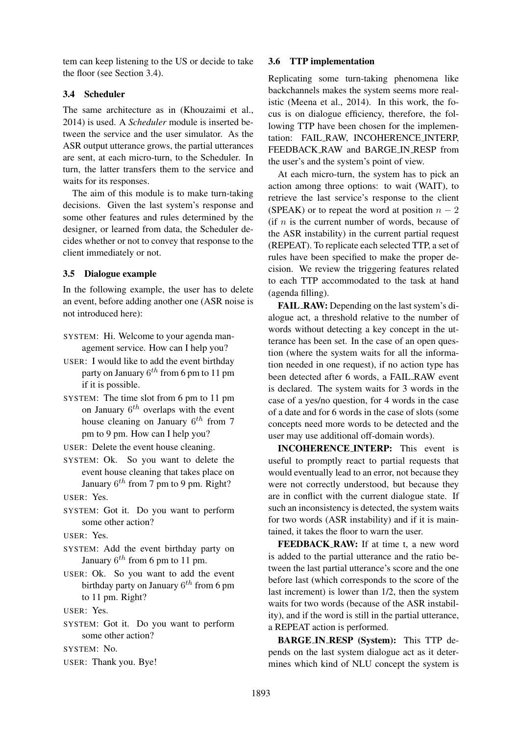tem can keep listening to the US or decide to take the floor (see Section 3.4).

#### 3.4 Scheduler

The same architecture as in (Khouzaimi et al., 2014) is used. A *Scheduler* module is inserted between the service and the user simulator. As the ASR output utterance grows, the partial utterances are sent, at each micro-turn, to the Scheduler. In turn, the latter transfers them to the service and waits for its responses.

The aim of this module is to make turn-taking decisions. Given the last system's response and some other features and rules determined by the designer, or learned from data, the Scheduler decides whether or not to convey that response to the client immediately or not.

### 3.5 Dialogue example

In the following example, the user has to delete an event, before adding another one (ASR noise is not introduced here):

- SYSTEM: Hi. Welcome to your agenda management service. How can I help you?
- USER: I would like to add the event birthday party on January  $6^{th}$  from 6 pm to 11 pm if it is possible.
- SYSTEM: The time slot from 6 pm to 11 pm on January  $6^{th}$  overlaps with the event house cleaning on January  $6^{th}$  from 7 pm to 9 pm. How can I help you?
- USER: Delete the event house cleaning.
- SYSTEM: Ok. So you want to delete the event house cleaning that takes place on January  $6^{th}$  from 7 pm to 9 pm. Right?

USER: Yes.

SYSTEM: Got it. Do you want to perform some other action?

USER: Yes.

- SYSTEM: Add the event birthday party on January  $6^{th}$  from 6 pm to 11 pm.
- USER: Ok. So you want to add the event birthday party on January  $6^{th}$  from 6 pm to 11 pm. Right?
- USER: Yes.
- SYSTEM: Got it. Do you want to perform some other action?

SYSTEM: No.

USER: Thank you. Bye!

#### 3.6 TTP implementation

Replicating some turn-taking phenomena like backchannels makes the system seems more realistic (Meena et al., 2014). In this work, the focus is on dialogue efficiency, therefore, the following TTP have been chosen for the implementation: FAIL RAW, INCOHERENCE INTERP, FEEDBACK\_RAW and BARGE\_IN\_RESP from the user's and the system's point of view.

At each micro-turn, the system has to pick an action among three options: to wait (WAIT), to retrieve the last service's response to the client (SPEAK) or to repeat the word at position  $n - 2$ (if  $n$  is the current number of words, because of the ASR instability) in the current partial request (REPEAT). To replicate each selected TTP, a set of rules have been specified to make the proper decision. We review the triggering features related to each TTP accommodated to the task at hand (agenda filling).

FAIL RAW: Depending on the last system's dialogue act, a threshold relative to the number of words without detecting a key concept in the utterance has been set. In the case of an open question (where the system waits for all the information needed in one request), if no action type has been detected after 6 words, a FAIL RAW event is declared. The system waits for 3 words in the case of a yes/no question, for 4 words in the case of a date and for 6 words in the case of slots (some concepts need more words to be detected and the user may use additional off-domain words).

INCOHERENCE INTERP: This event is useful to promptly react to partial requests that would eventually lead to an error, not because they were not correctly understood, but because they are in conflict with the current dialogue state. If such an inconsistency is detected, the system waits for two words (ASR instability) and if it is maintained, it takes the floor to warn the user.

FEEDBACK RAW: If at time t, a new word is added to the partial utterance and the ratio between the last partial utterance's score and the one before last (which corresponds to the score of the last increment) is lower than 1/2, then the system waits for two words (because of the ASR instability), and if the word is still in the partial utterance, a REPEAT action is performed.

BARGE IN RESP (System): This TTP depends on the last system dialogue act as it determines which kind of NLU concept the system is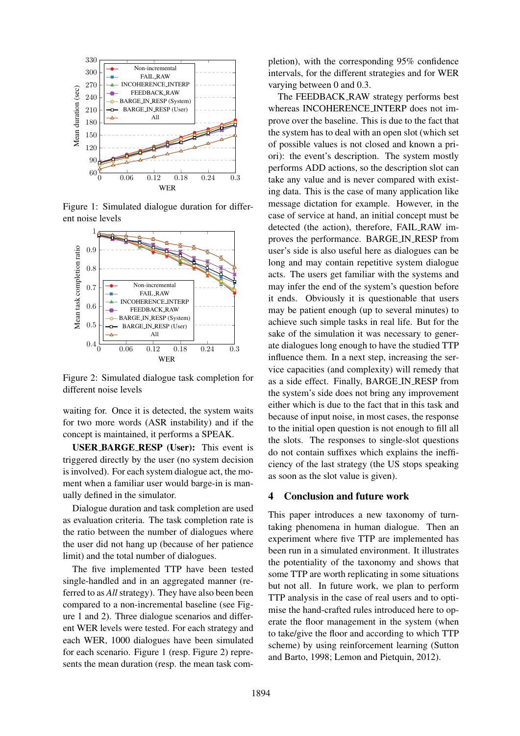

Figure 1: Simulated dialogue duration for different noise levels



Figure 2: Simulated dialogue task completion for different noise levels

waiting for. Once it is detected, the system waits for two more words (ASR instability) and if the concept is maintained, it performs a SPEAK.

USER BARGE RESP (User): This event is triggered directly by the user (no system decision is involved). For each system dialogue act, the moment when a familiar user would barge-in is manually defined in the simulator.

Dialogue duration and task completion are used as evaluation criteria. The task completion rate is the ratio between the number of dialogues where the user did not hang up (because of her patience limit) and the total number of dialogues.

The five implemented TTP have been tested single-handled and in an aggregated manner (referred to as *All* strategy). They have also been been compared to a non-incremental baseline (see Figure 1 and 2). Three dialogue scenarios and different WER levels were tested. For each strategy and each WER, 1000 dialogues have been simulated for each scenario. Figure 1 (resp. Figure 2) represents the mean duration (resp. the mean task completion), with the corresponding 95% confidence intervals, for the different strategies and for WER varying between 0 and 0.3.

The FEEDBACK RAW strategy performs best whereas INCOHERENCE INTERP does not improve over the baseline. This is due to the fact that the system has to deal with an open slot (which set of possible values is not closed and known a priori): the event's description. The system mostly performs ADD actions, so the description slot can take any value and is never compared with existing data. This is the case of many application like message dictation for example. However, in the case of service at hand, an initial concept must be detected (the action), therefore, FAIL RAW improves the performance. BARGE IN RESP from user's side is also useful here as dialogues can be long and may contain repetitive system dialogue acts. The users get familiar with the systems and may infer the end of the system's question before it ends. Obviously it is questionable that users may be patient enough (up to several minutes) to achieve such simple tasks in real life. But for the sake of the simulation it was necessary to generate dialogues long enough to have the studied TTP influence them. In a next step, increasing the service capacities (and complexity) will remedy that as a side effect. Finally, BARGE IN RESP from the system's side does not bring any improvement either which is due to the fact that in this task and because of input noise, in most cases, the response to the initial open question is not enough to fill all the slots. The responses to single-slot questions do not contain suffixes which explains the inefficiency of the last strategy (the US stops speaking as soon as the slot value is given).

## 4 Conclusion and future work

This paper introduces a new taxonomy of turntaking phenomena in human dialogue. Then an experiment where five TTP are implemented has been run in a simulated environment. It illustrates the potentiality of the taxonomy and shows that some TTP are worth replicating in some situations but not all. In future work, we plan to perform TTP analysis in the case of real users and to optimise the hand-crafted rules introduced here to operate the floor management in the system (when to take/give the floor and according to which TTP scheme) by using reinforcement learning (Sutton and Barto, 1998; Lemon and Pietquin, 2012).